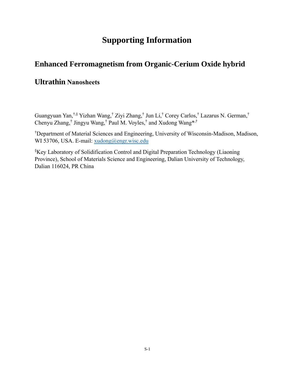# **Supporting Information**

## **Enhanced Ferromagnetism from Organic-Cerium Oxide hybrid**

### **Ultrathin Nanosheets**

Guangyuan Yan,†,§ Yizhan Wang,† Ziyi Zhang,† Jun Li,† Corey Carlos,† Lazarus N. German,† Chenyu Zhang,† Jingyu Wang,† Paul M. Voyles,† and Xudong Wang\*,†

†Department of Material Sciences and Engineering, University of Wisconsin-Madison, Madison, WI 53706, USA. E-mail: [xudong@engr.wisc.edu](mailto:xudong@engr.wisc.edu)

§Key Laboratory of Solidification Control and Digital Preparation Technology (Liaoning Province), School of Materials Science and Engineering, Dalian University of Technology, Dalian 116024, PR China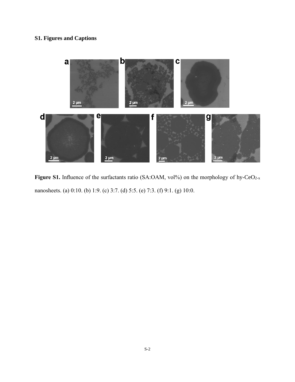### **S1. Figures and Captions**



Figure S1. Influence of the surfactants ratio (SA:OAM, vol%) on the morphology of hy-CeO<sub>2-x</sub> nanosheets. (a) 0:10. (b) 1:9. (c) 3:7. (d) 5:5. (e) 7:3. (f) 9:1. (g) 10:0.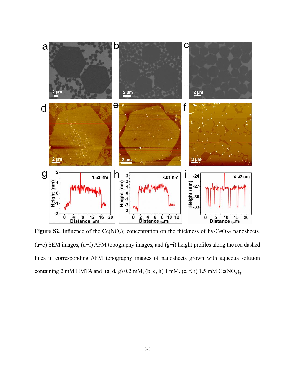

Figure S2. Influence of the Ce(NO<sub>3</sub>)<sub>3</sub> concentration on the thickness of hy-CeO<sub>2-x</sub> nanosheets. (a−c) SEM images, (d−f) AFM topography images, and (g−i) height profiles along the red dashed lines in corresponding AFM topography images of nanosheets grown with aqueous solution containing 2 mM HMTA and  $(a, d, g)$  0.2 mM,  $(b, e, h)$  1 mM,  $(c, f, i)$  1.5 mM Ce $(NO<sub>3</sub>)<sub>3</sub>$ .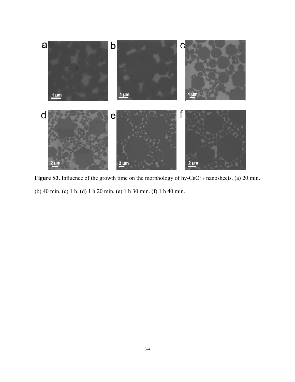

Figure S3. Influence of the growth time on the morphology of hy-CeO<sub>2-x</sub> nanosheets. (a) 20 min. (b) 40 min. (c) 1 h. (d) 1 h 20 min. (e) 1 h 30 min. (f) 1 h 40 min.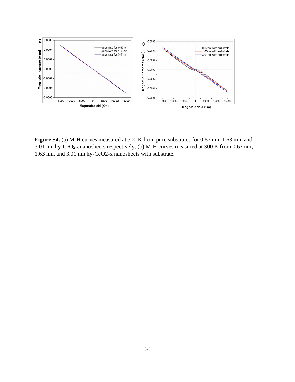

**Figure S4.** (a) M-H curves measured at 300 K from pure substrates for 0.67 nm, 1.63 nm, and 3.01 nm hy-CeO2-x nanosheets respectively. (b) M-H curves measured at 300 K from 0.67 nm, 1.63 nm, and 3.01 nm hy-CeO2-x nanosheets with substrate.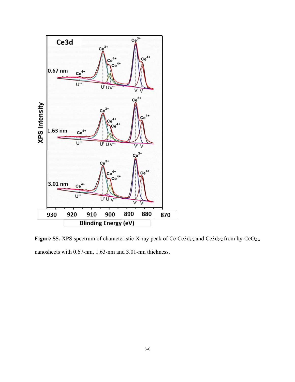

Figure S5. XPS spectrum of characteristic X-ray peak of Ce Ce3d<sub>3/2</sub> and Ce3d<sub>5/2</sub> from hy-CeO<sub>2-x</sub> nanosheets with 0.67-nm, 1.63-nm and 3.01-nm thickness.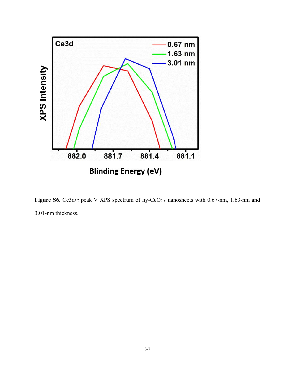

Figure S6. Ce3d<sub>5/2</sub> peak V XPS spectrum of hy-CeO<sub>2-x</sub> nanosheets with 0.67-nm, 1.63-nm and 3.01-nm thickness.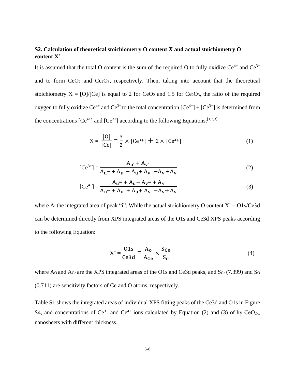#### **S2. Calculation of theoretical stoichiometry O content X and actual stoichiometry O content X'**

It is assumed that the total O content is the sum of the required O to fully oxidize  $Ce^{4+}$  and  $Ce^{3+}$ and to form  $CeO<sub>2</sub>$  and  $Ce<sub>2</sub>O<sub>3</sub>$ , respectively. Then, taking into account that the theoretical stoichiometry  $X = \frac{10}{10c}$  is equal to 2 for  $CeO<sub>2</sub>$  and 1.5 for  $Ce<sub>2</sub>O<sub>3</sub>$ , the ratio of the required oxygen to fully oxidize  $Ce^{4+}$  and  $Ce^{3+}$  to the total concentration  $[Ce^{4+}] + [Ce^{3+}]$  is determined from the concentrations  $[Ce^{4+}]$  and  $[Ce^{3+}]$  according to the following Equations: [1,2,3]

$$
X = \frac{[0]}{[Ce]} = \frac{3}{2} \times [Ce^{3+}] + 2 \times [Ce^{4+}]
$$
 (1)

$$
[Ce^{3+}] = \frac{A_{u'} + A_{v'}}{A_{u'''} + A_{u'} + A_{u} + A_{v''} + A_{v'} + A_{v'}}
$$
(2)

$$
[Ce^{4+}] = \frac{A_{u'''} + A_{u} + A_{v''} + A_{v}}{A_{u''} + A_{u'} + A_{u} + A_{v''} + A_{v'} + A_{v}}
$$
(3)

where  $A_i$  the integrated area of peak "i". While the actual stoichiometry O content  $X' = O1s/Ce3d$ can be determined directly from XPS integrated areas of the O1s and Ce3d XPS peaks according to the following Equation:

$$
X' = \frac{01s}{Ce3d} = \frac{A_o}{A_{Ce}} \times \frac{S_{Ce}}{S_o}
$$
(4)

where Ao and Ace are the XPS integrated areas of the O1s and Ce3d peaks, and Sce (7.399) and So (0.711) are sensitivity factors of Ce and O atoms, respectively.

Table S1 shows the integrated areas of individual XPS fitting peaks of the Ce3d and O1s in Figure S4, and concentrations of  $Ce^{3+}$  and  $Ce^{4+}$  ions calculated by Equation (2) and (3) of hy-CeO<sub>2-x</sub> nanosheets with different thickness.